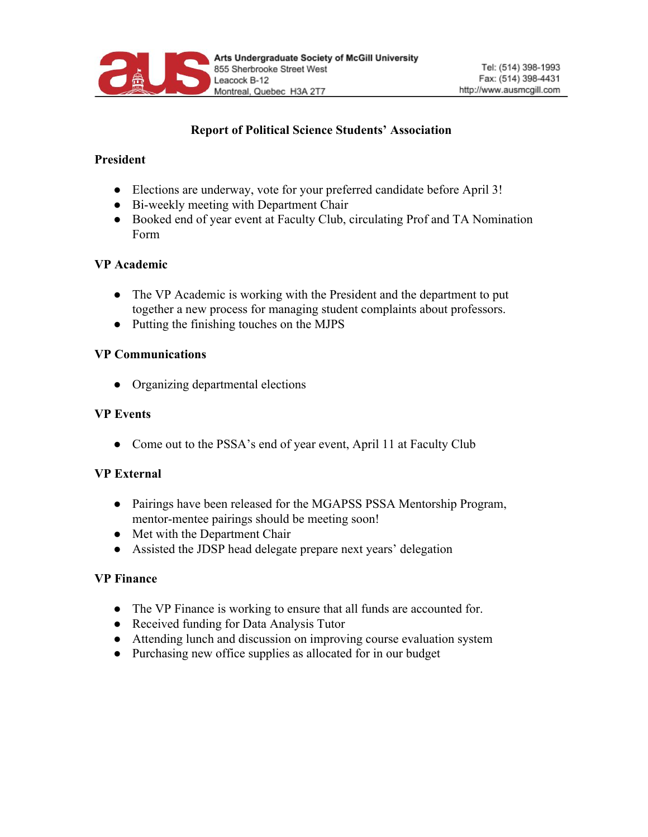

# **Report of Political Science Students' Association**

## **President**

- Elections are underway, vote for your preferred candidate before April 3!
- Bi-weekly meeting with Department Chair
- Booked end of year event at Faculty Club, circulating Prof and TA Nomination Form

# **VP Academic**

- The VP Academic is working with the President and the department to put together a new process for managing student complaints about professors.
- Putting the finishing touches on the MJPS

# **VP Communications**

● Organizing departmental elections

## **VP Events**

• Come out to the PSSA's end of year event, April 11 at Faculty Club

## **VP External**

- Pairings have been released for the MGAPSS PSSA Mentorship Program, mentor-mentee pairings should be meeting soon!
- Met with the Department Chair
- Assisted the JDSP head delegate prepare next years' delegation

## **VP Finance**

- The VP Finance is working to ensure that all funds are accounted for.
- Received funding for Data Analysis Tutor
- Attending lunch and discussion on improving course evaluation system
- Purchasing new office supplies as allocated for in our budget